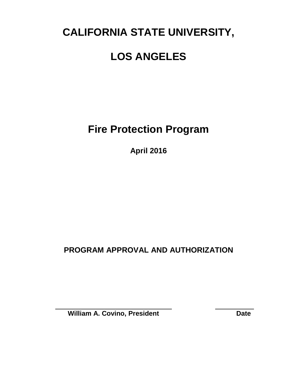## **CALIFORNIA STATE UNIVERSITY,**

## **LOS ANGELES**

**Fire Protection Program**

**April 2016**

**PROGRAM APPROVAL AND AUTHORIZATION**

**William A. Covino, President Date**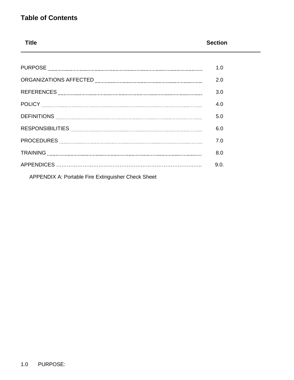### **Table of Contents**

# **Title Section**

| 1.0  |
|------|
| 2.0  |
| 3.0  |
| 4.0  |
| 5.0  |
| 6.0  |
| 7.0  |
| 8.0  |
| 9.0. |
|      |

APPENDIX A: Portable Fire Extinguisher Check Sheet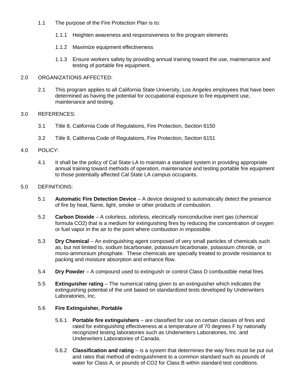- 1.1 The purpose of the Fire Protection Plan is to:
	- 1.1.1 Heighten awareness and responsiveness to fire program elements
	- 1.1.2 Maximize equipment effectiveness
	- 1.1.3 Ensure workers safety by providing annual training toward the use, maintenance and testing of portable fire equipment.

#### 2.0 ORGANIZATIONS AFFECTED:

2.1 This program applies to all California State University, Los Angeles employees that have been determined as having the potential for occupational exposure to fire equipment use, maintenance and testing.

#### 3.0 REFERENCES:

- 3.1 Title 8, California Code of Regulations, Fire Protection, Section 6150
- 3.2 Title 8, California Code of Regulations, Fire Protection, Section 6151

#### 4.0 POLICY:

4.1 It shall be the policy of Cal State LA to maintain a standard system in providing appropriate annual training toward methods of operation, maintenance and testing portable fire equipment to those potentially affected Cal State LA campus occupants.

#### 5.0 DEFINITIONS:

- 5.1 **Automatic Fire Detection Device** A device designed to automatically detect the presence of fire by heat, flame, light, smoke or other products of combustion.
- 5.2 **Carbon Dioxide** A colorless, odorless, electrically nonconductive inert gas (chemical formula CO2) that is a medium for extinguishing fires by reducing the concentration of oxygen or fuel vapor in the air to the point where combustion in impossible.
- 5.3 **Dry Chemical**  An extinguishing agent composed of very small particles of chemicals such as, but not limited to, sodium bicarbonate, potassium bicarbonate, potassium chloride, or mono-ammonium phosphate. These chemicals are specially treated to provide resistance to packing and moisture absorption and enhance flow.
- 5.4 **Dry Powder**  A compound used to extinguish or control Class D combustible metal fires.
- 5.5 **Extinguisher rating** The numerical rating given to an extinguisher which indicates the extinguishing potential of the unit based on standardized tests developed by Underwriters Laboratories, Inc.

#### 5.6 **Fire Extinguisher, Portable**

- 5.6.1 **Portable fire extinguishers** are classified for use on certain classes of fires and rated for extinguishing effectiveness at a temperature of 70 degrees F by nationally recognized testing laboratories such as Underwriters Laboratories, Inc. and Underwriters Laboratories of Canada.
- 5.6.2 **Classification and rating** is a system that determines the way fires must be put out and rates that method of extinguishment to a common standard such as pounds of water for Class A, or pounds of CO2 for Class B within standard test conditions.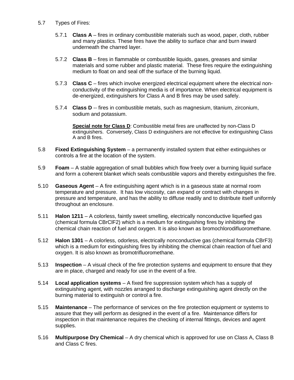- 5.7 Types of Fires:
	- 5.7.1 **Class A** fires in ordinary combustible materials such as wood, paper, cloth, rubber and many plastics. These fires have the ability to surface char and burn inward underneath the charred layer.
	- 5.7.2 **Class B** fires in flammable or combustible liquids, gases, greases and similar materials and some rubber and plastic material. These fires require the extinguishing medium to float on and seal off the surface of the burning liquid.
	- 5.7.3 **Class C** fires which involve energized electrical equipment where the electrical nonconductivity of the extinguishing media is of importance. When electrical equipment is de-energized, extinguishers for Class A and B fires may be used safely.
	- 5.7.4 **Class D** -- fires in combustible metals, such as magnesium, titanium, zirconium, sodium and potassium.

**Special note for Class D**: Combustible metal fires are unaffected by non-Class D extinguishers. Conversely, Class D extinguishers are not effective for extinguishing Class A and B fires.

- 5.8 **Fixed Extinguishing System** a permanently installed system that either extinguishes or controls a fire at the location of the system.
- 5.9 **Foam** A stable aggregation of small bubbles which flow freely over a burning liquid surface and form a coherent blanket which seals combustible vapors and thereby extinguishes the fire.
- 5.10 **Gaseous Agent** A fire extinguishing agent which is in a gaseous state at normal room temperature and pressure. It has low viscosity, can expand or contract with changes in pressure and temperature, and has the ability to diffuse readily and to distribute itself uniformly throughout an enclosure.
- 5.11 **Halon 1211** A colorless, faintly sweet smelling, electrically nonconductive liquefied gas (chemical formula CBrClF2) which is a medium for extinguishing fires by inhibiting the chemical chain reaction of fuel and oxygen. It is also known as bromochlorodifluoromethane.
- 5.12 **Halon 1301** A colorless, odorless, electrically nonconductive gas (chemical formula CBrF3) which is a medium for extinguishing fires by inhibiting the chemical chain reaction of fuel and oxygen. It is also known as bromotrifluoromethane.
- 5.13 **Inspection** A visual check of the fire protection systems and equipment to ensure that they are in place, charged and ready for use in the event of a fire.
- 5.14 **Local application systems** A fixed fire suppression system which has a supply of extinguishing agent, with nozzles arranged to discharge extinguishing agent directly on the burning material to extinguish or control a fire.
- 5.15 **Maintenance**  The performance of services on the fire protection equipment or systems to assure that they will perform as designed in the event of a fire. Maintenance differs for inspection in that maintenance requires the checking of internal fittings, devices and agent supplies.
- 5.16 **Multipurpose Dry Chemical**  A dry chemical which is approved for use on Class A, Class B and Class C fires.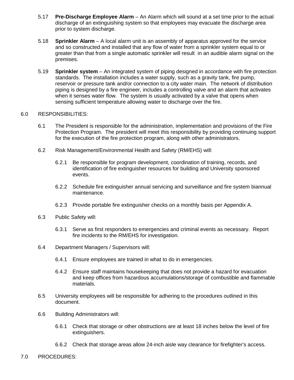- 5.17 **Pre-Discharge Employee Alarm** An Alarm which will sound at a set time prior to the actual discharge of an extinguishing system so that employees may evacuate the discharge area prior to system discharge.
- 5.18 **Sprinkler Alarm** A local alarm unit is an assembly of apparatus approved for the service and so constructed and installed that any flow of water from a sprinkler system equal to or greater than that from a single automatic sprinkler will result in an audible alarm signal on the premises.
- 5.19 **Sprinkler system** An integrated system of piping designed in accordance with fire protection standards. The installation includes a water supply, such as a gravity tank, fire pump, reservoir or pressure tank and/or connection to a city water main. The network of distribution piping is designed by a fire engineer, includes a controlling valve and an alarm that activates when it senses water flow. The system is usually activated by a valve that opens when sensing sufficient temperature allowing water to discharge over the fire.

#### 6.0 RESPONSIBILITIES:

- 6.1 The President is responsible for the administration, implementation and provisions of the Fire Protection Program. The president will meet this responsibility by providing continuing support for the execution of the fire protection program, along with other administrators.
- 6.2 Risk Management/Environmental Health and Safety (RM/EHS) will:
	- 6.2.1 Be responsible for program development, coordination of training, records, and identification of fire extinguisher resources for building and University sponsored events.
	- 6.2.2 Schedule fire extinguisher annual servicing and surveillance and fire system biannual maintenance.
	- 6.2.3 Provide portable fire extinguisher checks on a monthly basis per Appendix A.
- 6.3 Public Safety will:
	- 6.3.1 Serve as first responders to emergencies and criminal events as necessary. Report fire incidents to the RM/EHS for investigation.
- 6.4 Department Managers / Supervisors will:
	- 6.4.1 Ensure employees are trained in what to do in emergencies.
	- 6.4.2 Ensure staff maintains housekeeping that does not provide a hazard for evacuation and keep offices from hazardous accumulations/storage of combustible and flammable materials.
- 6.5 University employees will be responsible for adhering to the procedures outlined in this document.
- 6.6 Building Administrators will:
	- 6.6.1 Check that storage or other obstructions are at least 18 inches below the level of fire extinguishers.
	- 6.6.2 Check that storage areas allow 24-inch aisle way clearance for firefighter's access.
- 7.0 PROCEDURES: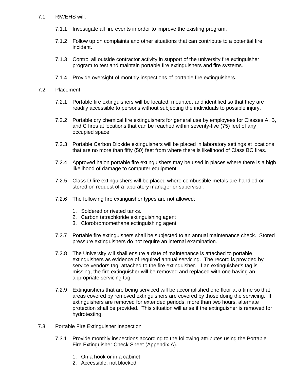#### 7.1 RM/EHS will:

- 7.1.1 Investigate all fire events in order to improve the existing program.
- 7.1.2 Follow up on complaints and other situations that can contribute to a potential fire incident.
- 7.1.3 Control all outside contractor activity in support of the university fire extinguisher program to test and maintain portable fire extinguishers and fire systems.
- 7.1.4 Provide oversight of monthly inspections of portable fire extinguishers.

#### 7.2 Placement

- 7.2.1 Portable fire extinguishers will be located, mounted, and identified so that they are readily accessible to persons without subjecting the individuals to possible injury.
- 7.2.2 Portable dry chemical fire extinguishers for general use by employees for Classes A, B, and C fires at locations that can be reached within seventy-five (75) feet of any occupied space.
- 7.2.3 Portable Carbon Dioxide extinguishers will be placed in laboratory settings at locations that are no more than fifty (50) feet from where there is likelihood of Class BC fires.
- 7.2.4 Approved halon portable fire extinguishers may be used in places where there is a high likelihood of damage to computer equipment.
- 7.2.5 Class D fire extinguishers will be placed where combustible metals are handled or stored on request of a laboratory manager or supervisor.
- 7.2.6 The following fire extinguisher types are not allowed:
	- 1. Soldered or riveted tanks.
	- 2. Carbon tetrachloride extinguishing agent
	- 3. Clorobromomethane extinguishing agent
- 7.2.7 Portable fire extinguishers shall be subjected to an annual maintenance check. Stored pressure extinguishers do not require an internal examination.
- 7.2.8 The University will shall ensure a date of maintenance is attached to portable extinguishers as evidence of required annual servicing. The record is provided by service vendors tag, attached to the fire extinguisher. If an extinguisher's tag is missing, the fire extinguisher will be removed and replaced with one having an appropriate servicing tag.
- 7.2.9 Extinguishers that are being serviced will be accomplished one floor at a time so that areas covered by removed extinguishers are covered by those doing the servicing. If extinguishers are removed for extended periods, more than two hours, alternate protection shall be provided. This situation will arise if the extinguisher is removed for hydrotesting.
- 7.3 Portable Fire Extinguisher Inspection
	- 7.3.1 Provide monthly inspections according to the following attributes using the Portable Fire Extinguisher Check Sheet (Appendix A).
		- 1. On a hook or in a cabinet
		- 2. Accessible, not blocked